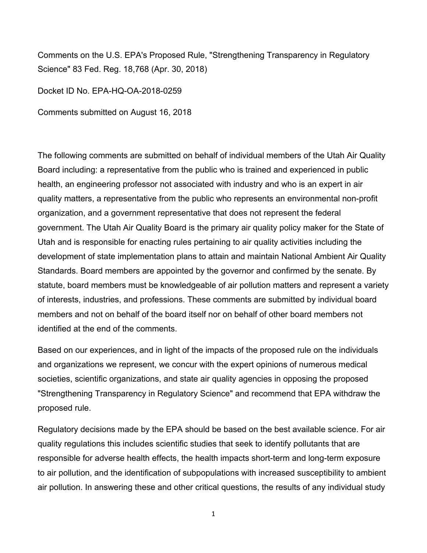Comments on the U.S. EPA's Proposed Rule, "Strengthening Transparency in Regulatory Science" 83 Fed. Reg. 18,768 (Apr. 30, 2018)

Docket ID No. EPA-HQ-OA-2018-0259

Comments submitted on August 16, 2018

The following comments are submitted on behalf of individual members of the Utah Air Quality Board including: a representative from the public who is trained and experienced in public health, an engineering professor not associated with industry and who is an expert in air quality matters, a representative from the public who represents an environmental non-profit organization, and a government representative that does not represent the federal government. The Utah Air Quality Board is the primary air quality policy maker for the State of Utah and is responsible for enacting rules pertaining to air quality activities including the development of state implementation plans to attain and maintain National Ambient Air Quality Standards. Board members are appointed by the governor and confirmed by the senate. By statute, board members must be knowledgeable of air pollution matters and represent a variety of interests, industries, and professions. These comments are submitted by individual board members and not on behalf of the board itself nor on behalf of other board members not identified at the end of the comments.

Based on our experiences, and in light of the impacts of the proposed rule on the individuals and organizations we represent, we concur with the expert opinions of numerous medical societies, scientific organizations, and state air quality agencies in opposing the proposed "Strengthening Transparency in Regulatory Science" and recommend that EPA withdraw the proposed rule.

Regulatory decisions made by the EPA should be based on the best available science. For air quality regulations this includes scientific studies that seek to identify pollutants that are responsible for adverse health effects, the health impacts short-term and long-term exposure to air pollution, and the identification of subpopulations with increased susceptibility to ambient air pollution. In answering these and other critical questions, the results of any individual study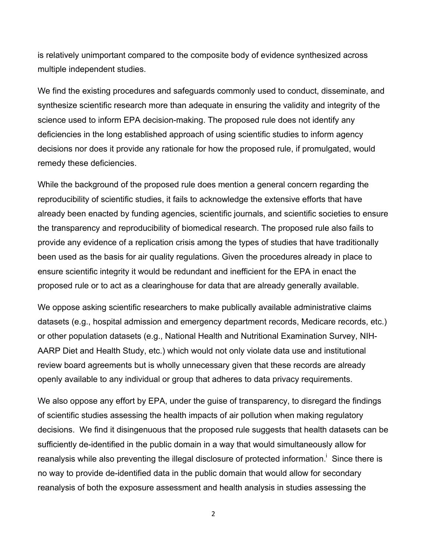is relatively unimportant compared to the composite body of evidence synthesized across multiple independent studies.

We find the existing procedures and safeguards commonly used to conduct, disseminate, and synthesize scientific research more than adequate in ensuring the validity and integrity of the science used to inform EPA decision-making. The proposed rule does not identify any deficiencies in the long established approach of using scientific studies to inform agency decisions nor does it provide any rationale for how the proposed rule, if promulgated, would remedy these deficiencies.

While the background of the proposed rule does mention a general concern regarding the reproducibility of scientific studies, it fails to acknowledge the extensive efforts that have already been enacted by funding agencies, scientific journals, and scientific societies to ensure the transparency and reproducibility of biomedical research. The proposed rule also fails to provide any evidence of a replication crisis among the types of studies that have traditionally been used as the basis for air quality regulations. Given the procedures already in place to ensure scientific integrity it would be redundant and inefficient for the EPA in enact the proposed rule or to act as a clearinghouse for data that are already generally available.

We oppose asking scientific researchers to make publically available administrative claims datasets (e.g., hospital admission and emergency department records, Medicare records, etc.) or other population datasets (e.g., National Health and Nutritional Examination Survey, NIH-AARP Diet and Health Study, etc.) which would not only violate data use and institutional review board agreements but is wholly unnecessary given that these records are already openly available to any individual or group that adheres to data privacy requirements.

We also oppose any effort by EPA, under the guise of transparency, to disregard the findings of scientific studies assessing the health impacts of air pollution when making regulatory decisions. We find it disingenuous that the proposed rule suggests that health datasets can be sufficiently de-identified in the public domain in a way that would simultaneously allow for reanalysis while also preventing the illegal disclosure of protected information.<sup>1</sup> Since there is no way to provide de-identified data in the public domain that would allow for secondary reanalysis of both the exposure assessment and health analysis in studies assessing the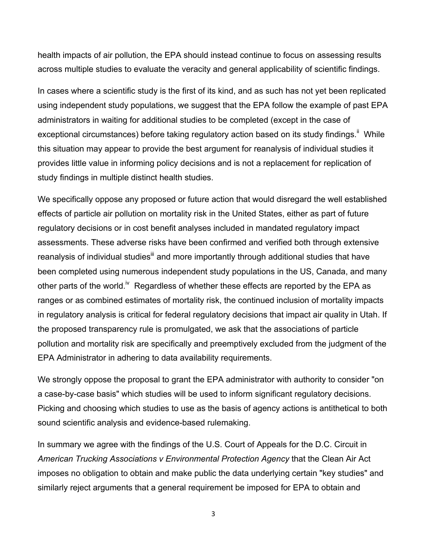health impacts of air pollution, the EPA should instead continue to focus on assessing results across multiple studies to evaluate the veracity and general applicability of scientific findings.

In cases where a scientific study is the first of its kind, and as such has not yet been replicated using independent study populations, we suggest that the EPA follow the example of past EPA administrators in waiting for additional studies to be completed (except in the case of exceptional circumstances) before taking regulatory action based on its study findings.<sup>ii</sup> While this situation may appear to provide the best argument for reanalysis of individual studies it provides little value in informing policy decisions and is not a replacement for replication of study findings in multiple distinct health studies.

We specifically oppose any proposed or future action that would disregard the well established effects of particle air pollution on mortality risk in the United States, either as part of future regulatory decisions or in cost benefit analyses included in mandated regulatory impact assessments. These adverse risks have been confirmed and verified both through extensive reanalysis of individual studies<sup>iii</sup> and more importantly through additional studies that have been completed using numerous independent study populations in the US, Canada, and many other parts of the world.<sup>iv</sup> Regardless of whether these effects are reported by the EPA as ranges or as combined estimates of mortality risk, the continued inclusion of mortality impacts in regulatory analysis is critical for federal regulatory decisions that impact air quality in Utah. If the proposed transparency rule is promulgated, we ask that the associations of particle pollution and mortality risk are specifically and preemptively excluded from the judgment of the EPA Administrator in adhering to data availability requirements.

We strongly oppose the proposal to grant the EPA administrator with authority to consider "on a case-by-case basis" which studies will be used to inform significant regulatory decisions. Picking and choosing which studies to use as the basis of agency actions is antithetical to both sound scientific analysis and evidence-based rulemaking.

In summary we agree with the findings of the U.S. Court of Appeals for the D.C. Circuit in *American Trucking Associations v Environmental Protection Agency* that the Clean Air Act imposes no obligation to obtain and make public the data underlying certain "key studies" and similarly reject arguments that a general requirement be imposed for EPA to obtain and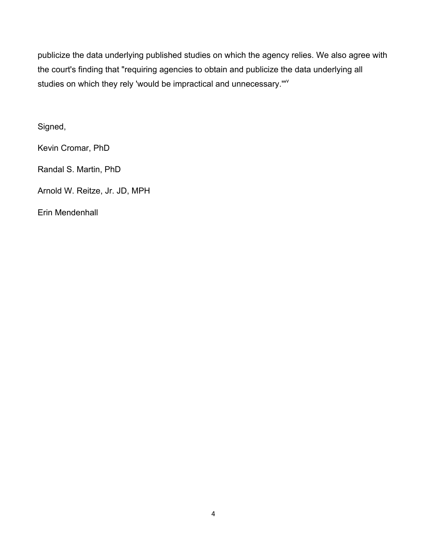publicize the data underlying published studies on which the agency relies. We also agree with the court's finding that "requiring agencies to obtain and publicize the data underlying all studies on which they rely 'would be impractical and unnecessary."<sup>"</sup>

Signed,

Kevin Cromar, PhD

Randal S. Martin, PhD

Arnold W. Reitze, Jr. JD, MPH

Erin Mendenhall